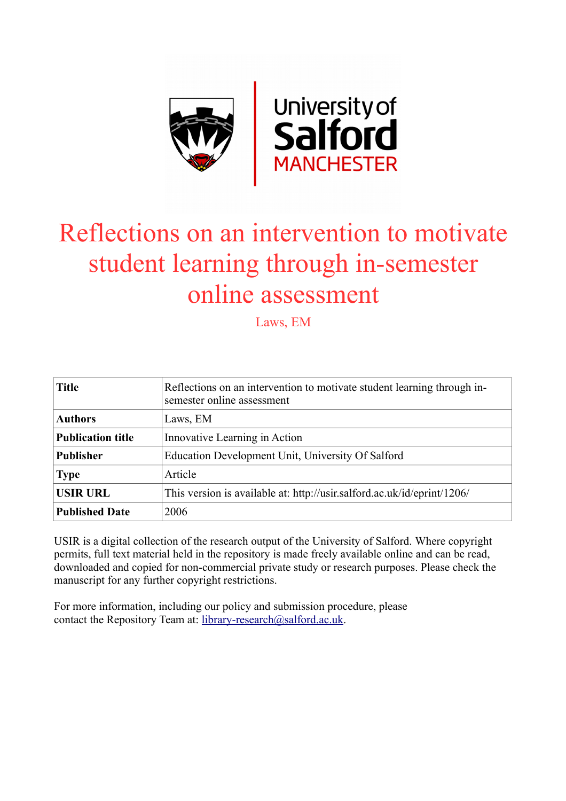

# Reflections on an intervention to motivate student learning through in-semester online assessment

Laws, EM

| <b>Title</b>             | Reflections on an intervention to motivate student learning through in-<br>semester online assessment |
|--------------------------|-------------------------------------------------------------------------------------------------------|
| <b>Authors</b>           | Laws, EM                                                                                              |
| <b>Publication title</b> | Innovative Learning in Action                                                                         |
| <b>Publisher</b>         | Education Development Unit, University Of Salford                                                     |
| <b>Type</b>              | Article                                                                                               |
| <b>USIR URL</b>          | This version is available at: http://usir.salford.ac.uk/id/eprint/1206/                               |
| <b>Published Date</b>    | 2006                                                                                                  |

USIR is a digital collection of the research output of the University of Salford. Where copyright permits, full text material held in the repository is made freely available online and can be read, downloaded and copied for non-commercial private study or research purposes. Please check the manuscript for any further copyright restrictions.

For more information, including our policy and submission procedure, please contact the Repository Team at: [library-research@salford.ac.uk.](mailto:library-research@salford.ac.uk)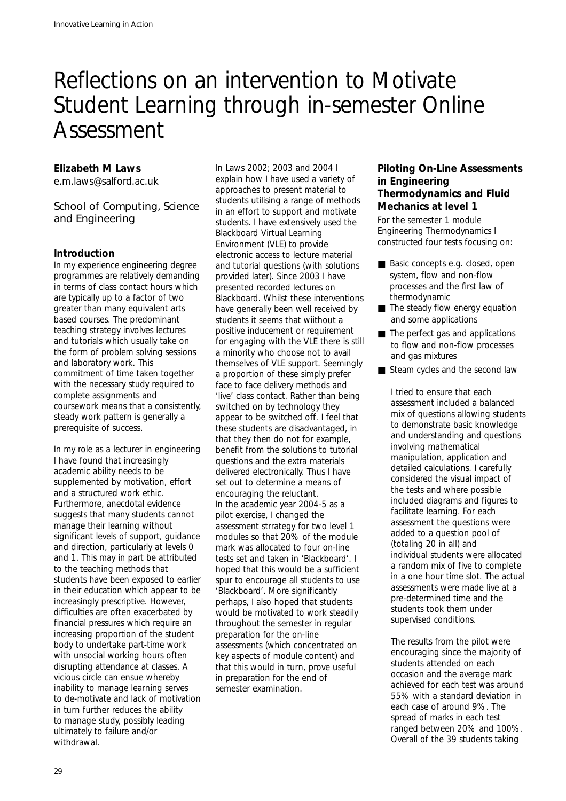# Reflections on an intervention to Motivate Student Learning through in-semester Online Assessment

## **Elizabeth M Laws** e.m.laws@salford.ac.uk

# School of Computing, Science and Engineering

## **Introduction**

In my experience engineering degree programmes are relatively demanding in terms of class contact hours which are typically up to a factor of two greater than many equivalent arts based courses. The predominant teaching strategy involves lectures and tutorials which usually take on the form of problem solving sessions and laboratory work. This commitment of time taken together with the necessary study required to complete assignments and coursework means that a consistently, steady work pattern is generally a prerequisite of success.

In my role as a lecturer in engineering I have found that increasingly academic ability needs to be supplemented by motivation, effort and a structured work ethic. Furthermore, anecdotal evidence suggests that many students cannot manage their learning without significant levels of support, guidance and direction, particularly at levels 0 and 1. This may in part be attributed to the teaching methods that students have been exposed to earlier in their education which appear to be increasingly prescriptive. However, difficulties are often exacerbated by financial pressures which require an increasing proportion of the student body to undertake part-time work with unsocial working hours often disrupting attendance at classes. A vicious circle can ensue whereby inability to manage learning serves to de-motivate and lack of motivation in turn further reduces the ability to manage study, possibly leading ultimately to failure and/or withdrawal.

In Laws 2002; 2003 and 2004 I explain how I have used a variety of approaches to present material to students utilising a range of methods in an effort to support and motivate students. I have extensively used the Blackboard Virtual Learning Environment (VLE) to provide electronic access to lecture material and tutorial questions (with solutions provided later). Since 2003 I have presented recorded lectures on Blackboard. Whilst these interventions have generally been well received by students it seems that wiithout a positive inducement or requirement for engaging with the VLE there is still a minority who choose not to avail themselves of VLE support. Seemingly a proportion of these simply prefer face to face delivery methods and 'live' class contact. Rather than being switched on by technology they appear to be switched off. I feel that these students are disadvantaged, in that they then do not for example, benefit from the solutions to tutorial questions and the extra materials delivered electronically. Thus I have set out to determine a means of encouraging the reluctant. In the academic year 2004-5 as a pilot exercise, I changed the assessment strrategy for two level 1 modules so that 20% of the module mark was allocated to four on-line tests set and taken in 'Blackboard'. I hoped that this would be a sufficient spur to encourage all students to use 'Blackboard'. More significantly perhaps, I also hoped that students would be motivated to work steadily throughout the semester in regular preparation for the on-line assessments (which concentrated on key aspects of module content) and that this would in turn, prove useful in preparation for the end of semester examination.

# **Piloting On-Line Assessments in Engineering Thermodynamics and Fluid Mechanics at level 1**

For the semester 1 module Engineering Thermodynamics I constructed four tests focusing on:

- Basic concepts e.g. closed, open system, flow and non-flow processes and the first law of thermodynamic
- The steady flow energy equation and some applications
- The perfect gas and applications to flow and non-flow processes and gas mixtures
- Steam cycles and the second law

I tried to ensure that each assessment included a balanced mix of questions allowing students to demonstrate basic knowledge and understanding and questions involving mathematical manipulation, application and detailed calculations. I carefully considered the visual impact of the tests and where possible included diagrams and figures to facilitate learning. For each assessment the questions were added to a question pool of (totaling 20 in all) and individual students were allocated a random mix of five to complete in a one hour time slot. The actual assessments were made live at a pre-determined time and the students took them under supervised conditions.

The results from the pilot were encouraging since the majority of students attended on each occasion and the average mark achieved for each test was around 55% with a standard deviation in each case of around 9%. The spread of marks in each test ranged between 20% and 100%. Overall of the 39 students taking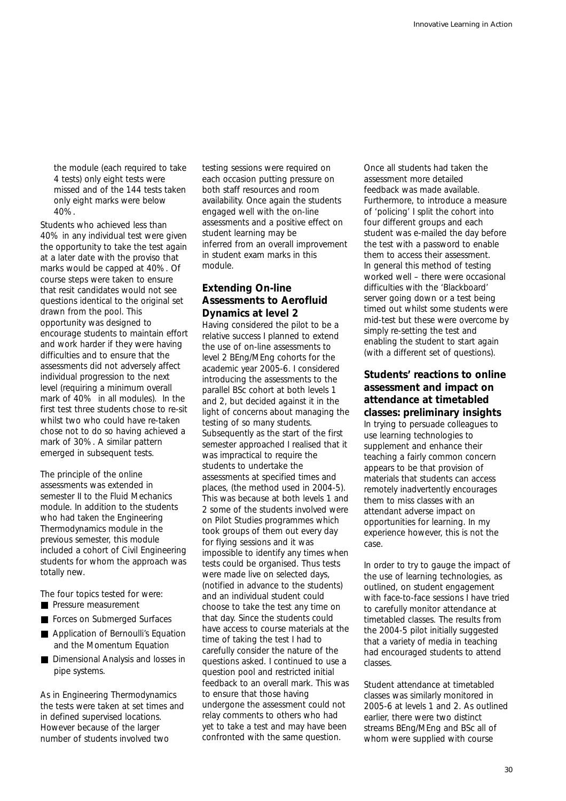the module (each required to take 4 tests) only eight tests were missed and of the 144 tests taken only eight marks were below 40%.

Students who achieved less than 40% in any individual test were given the opportunity to take the test again at a later date with the proviso that marks would be capped at 40%. Of course steps were taken to ensure that resit candidates would not see questions identical to the original set drawn from the pool. This opportunity was designed to encourage students to maintain effort and work harder if they were having difficulties and to ensure that the assessments did not adversely affect individual progression to the next level (requiring a minimum overall mark of 40% in all modules). In the first test three students chose to re-sit whilst two who could have re-taken chose not to do so having achieved a mark of 30%. A similar pattern emerged in subsequent tests.

The principle of the online assessments was extended in semester II to the Fluid Mechanics module. In addition to the students who had taken the Engineering Thermodynamics module in the previous semester, this module included a cohort of Civil Engineering students for whom the approach was totally new.

The four topics tested for were:

- Pressure measurement
- Forces on Submerged Surfaces
- Application of Bernoulli's Equation and the Momentum Equation
- Dimensional Analysis and losses in pipe systems.

As in Engineering Thermodynamics the tests were taken at set times and in defined supervised locations. However because of the larger number of students involved two

testing sessions were required on each occasion putting pressure on both staff resources and room availability. Once again the students engaged well with the on-line assessments and a positive effect on student learning may be inferred from an overall improvement in student exam marks in this module.

# **Extending On-line Assessments to Aerofluid Dynamics at level 2**

Having considered the pilot to be a relative success I planned to extend the use of on-line assessments to level 2 BEng/MEng cohorts for the academic year 2005-6. I considered introducing the assessments to the parallel BSc cohort at both levels 1 and 2, but decided against it in the light of concerns about managing the testing of so many students. Subsequently as the start of the first semester approached I realised that it was impractical to require the students to undertake the assessments at specified times and places, (the method used in 2004-5). This was because at both levels 1 and 2 some of the students involved were on Pilot Studies programmes which took groups of them out every day for flying sessions and it was impossible to identify any times when tests could be organised. Thus tests were made live on selected days, (notified in advance to the students) and an individual student could choose to take the test any time on that day. Since the students could have access to course materials at the time of taking the test I had to carefully consider the nature of the questions asked. I continued to use a question pool and restricted initial feedback to an overall mark. This was to ensure that those having undergone the assessment could not relay comments to others who had yet to take a test and may have been confronted with the same question.

Once all students had taken the assessment more detailed feedback was made available. Furthermore, to introduce a measure of 'policing' I split the cohort into four different groups and each student was e-mailed the day before the test with a password to enable them to access their assessment. In general this method of testing worked well – there were occasional difficulties with the 'Blackboard' server going down or a test being timed out whilst some students were mid-test but these were overcome by simply re-setting the test and enabling the student to start again (with a different set of questions).

**Students' reactions to online assessment and impact on attendance at timetabled classes: preliminary insights** In trying to persuade colleagues to use learning technologies to supplement and enhance their teaching a fairly common concern appears to be that provision of materials that students can access remotely inadvertently encourages them to miss classes with an attendant adverse impact on opportunities for learning. In my experience however, this is not the case.

In order to try to gauge the impact of the use of learning technologies, as outlined, on student engagement with face-to-face sessions I have tried to carefully monitor attendance at timetabled classes. The results from the 2004-5 pilot initially suggested that a variety of media in teaching had encouraged students to attend classes.

Student attendance at timetabled classes was similarly monitored in 2005-6 at levels 1 and 2. As outlined earlier, there were two distinct streams BEng/MEng and BSc all of whom were supplied with course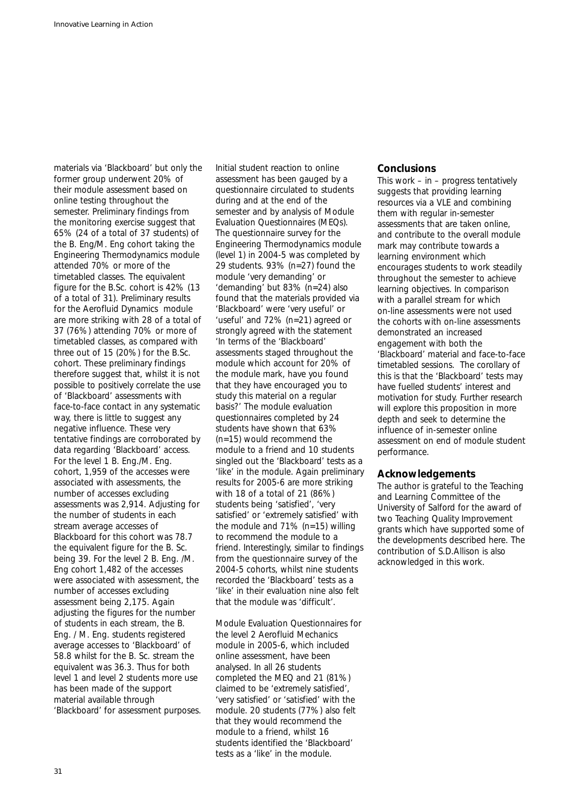materials via 'Blackboard' but only the former group underwent 20% of their module assessment based on online testing throughout the semester. Preliminary findings from the monitoring exercise suggest that 65% (24 of a total of 37 students) of the B. Eng/M. Eng cohort taking the Engineering Thermodynamics module attended 70% or more of the timetabled classes. The equivalent figure for the B.Sc. cohort is 42% (13 of a total of 31). Preliminary results for the Aerofluid Dynamics module are more striking with 28 of a total of 37 (76%) attending 70% or more of timetabled classes, as compared with three out of 15 (20%) for the B.Sc. cohort. These preliminary findings therefore suggest that, whilst it is not possible to positively correlate the use of 'Blackboard' assessments with face-to-face contact in any systematic way, there is little to suggest any negative influence. These very tentative findings are corroborated by data regarding 'Blackboard' access. For the level 1 B. Eng./M. Eng. cohort, 1,959 of the accesses were associated with assessments, the number of accesses excluding assessments was 2,914. Adjusting for the number of students in each stream average accesses of Blackboard for this cohort was 78.7 the equivalent figure for the B. Sc. being 39. For the level 2 B. Eng. /M. Eng cohort 1,482 of the accesses were associated with assessment, the number of accesses excluding assessment being 2,175. Again adjusting the figures for the number of students in each stream, the B. Eng. / M. Eng. students registered average accesses to 'Blackboard' of 58.8 whilst for the B. Sc. stream the equivalent was 36.3. Thus for both level 1 and level 2 students more use has been made of the support material available through 'Blackboard' for assessment purposes.

Initial student reaction to online assessment has been gauged by a questionnaire circulated to students during and at the end of the semester and by analysis of Module Evaluation Questionnaires (MEQs). The questionnaire survey for the Engineering Thermodynamics module (level 1) in 2004-5 was completed by 29 students. 93% (n=27) found the module 'very demanding' or 'demanding' but 83% (n=24) also found that the materials provided via 'Blackboard' were 'very useful' or 'useful' and 72% (n=21) agreed or strongly agreed with the statement 'In terms of the 'Blackboard' assessments staged throughout the module which account for 20% of the module mark, have you found that they have encouraged you to study this material on a regular basis?' The module evaluation questionnaires completed by 24 students have shown that 63% (n=15) would recommend the module to a friend and 10 students singled out the 'Blackboard' tests as a 'like' in the module. Again preliminary results for 2005-6 are more striking with 18 of a total of 21 (86%) students being 'satisfied', 'very satisfied' or 'extremely satisfied' with the module and 71% (n=15) willing to recommend the module to a friend. Interestingly, similar to findings from the questionnaire survey of the 2004-5 cohorts, whilst nine students recorded the 'Blackboard' tests as a 'like' in their evaluation nine also felt that the module was 'difficult'.

Module Evaluation Questionnaires for the level 2 Aerofluid Mechanics module in 2005-6, which included online assessment, have been analysed. In all 26 students completed the MEQ and 21 (81%) claimed to be 'extremely satisfied', 'very satisfied' or 'satisfied' with the module. 20 students (77%) also felt that they would recommend the module to a friend, whilst 16 students identified the 'Blackboard' tests as a 'like' in the module.

#### **Conclusions**

This work – in – progress tentatively suggests that providing learning resources via a VLE and combining them with regular in-semester assessments that are taken online, and contribute to the overall module mark may contribute towards a learning environment which encourages students to work steadily throughout the semester to achieve learning objectives. In comparison with a parallel stream for which on-line assessments were not used the cohorts with on-line assessments demonstrated an increased engagement with both the 'Blackboard' material and face-to-face timetabled sessions. The corollary of this is that the 'Blackboard' tests may have fuelled students' interest and motivation for study. Further research will explore this proposition in more depth and seek to determine the influence of in-semester online assessment on end of module student performance.

#### **Acknowledgements**

The author is grateful to the Teaching and Learning Committee of the University of Salford for the award of two Teaching Quality Improvement grants which have supported some of the developments described here. The contribution of S.D.Allison is also acknowledged in this work.